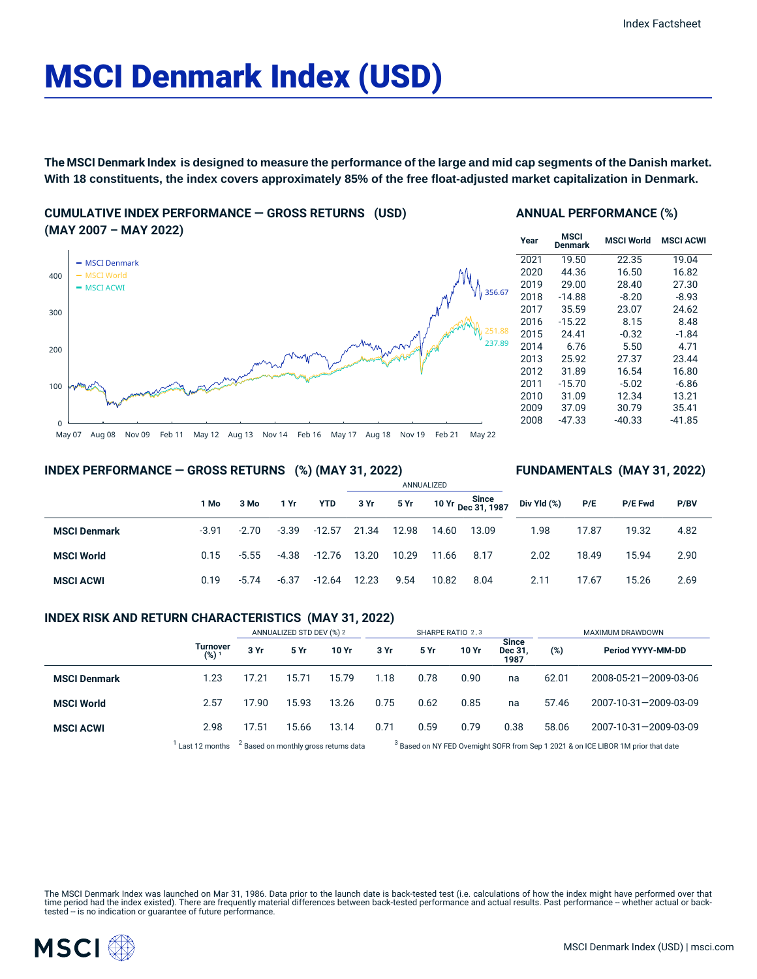# MSCI Denmark Index (USD)

**The MSCI Denmark Index is designed to measure the performance of the large and mid cap segments of the Danish market. With 18 constituents, the index covers approximately 85% of the free float-adjusted market capitalization in Denmark.**

## **CUMULATIVE INDEX PERFORMANCE — GROSS RETURNS (USD) (MAY 2007 – MAY 2022)**



#### **ANNUAL PERFORMANCE (%)**

| Year | MSCI<br>Denmark | <b>MSCI World</b> | <b>MSCI ACWI</b> |
|------|-----------------|-------------------|------------------|
| 2021 | 19.50           | 22.35             | 19.04            |
| 2020 | 44.36           | 16.50             | 16.82            |
| 2019 | 29.00           | 28.40             | 27.30            |
| 2018 | $-14.88$        | $-8.20$           | $-8.93$          |
| 2017 | 35.59           | 23.07             | 24.62            |
| 2016 | $-15.22$        | 8.15              | 8.48             |
| 2015 | 24.41           | $-0.32$           | $-1.84$          |
| 2014 | 6.76            | 5.50              | 4.71             |
| 2013 | 25.92           | 27.37             | 23.44            |
| 2012 | 31.89           | 16.54             | 16.80            |
| 2011 | $-15.70$        | $-5.02$           | $-6.86$          |
| 2010 | 31.09           | 12.34             | 13.21            |
| 2009 | 37.09           | 30.79             | 35.41            |
| 2008 | $-47.33$        | $-40.33$          | -41.85           |

**FUNDAMENTALS (MAY 31, 2022)**

## **INDEX PERFORMANCE — GROSS RETURNS (%) (MAY 31, 2022)**

|                     |         |         |         |          | ANNUALIZED |       |       |                             |             |       |                |      |  |
|---------------------|---------|---------|---------|----------|------------|-------|-------|-----------------------------|-------------|-------|----------------|------|--|
|                     | 1 Mo    | 3 Mo    | 1 Yr    | YTD      | 3 Yr       | 5 Yr  |       | 10 Yr Since<br>Dec 31, 1987 | Div Yld (%) | P/E   | <b>P/E Fwd</b> | P/BV |  |
| <b>MSCI Denmark</b> | $-3.91$ | $-2.70$ | $-3.39$ | $-12.57$ | 21.34      | 12.98 | 14.60 | 13.09                       | 1.98        | 17.87 | 19.32          | 4.82 |  |
| <b>MSCI World</b>   | 0.15    | $-5.55$ | -4.38   | -12.76   | 13.20      | 10.29 | 11.66 | 8.17                        | 2.02        | 18.49 | 15.94          | 2.90 |  |
| <b>MSCI ACWI</b>    | 0.19    | $-5.74$ | $-6.37$ | -12.64   | 12.23      | 9.54  | 10.82 | 8.04                        | 2.11        | 17.67 | 15.26          | 2.69 |  |

## **INDEX RISK AND RETURN CHARACTERISTICS (MAY 31, 2022)**

|                     |                                     | ANNUALIZED STD DEV (%) 2                         |       |       | SHARPE RATIO 2,3 |      |       |                          | <b>MAXIMUM DRAWDOWN</b>                                                                       |                                   |  |
|---------------------|-------------------------------------|--------------------------------------------------|-------|-------|------------------|------|-------|--------------------------|-----------------------------------------------------------------------------------------------|-----------------------------------|--|
|                     | <b>Turnover</b><br>(%) <sup>1</sup> | 3 Yr                                             | 5 Yr  | 10 Yr | 3 Yr             | 5 Yr | 10 Yr | Since<br>Dec 31.<br>1987 | (%)                                                                                           | Period YYYY-MM-DD                 |  |
| <b>MSCI Denmark</b> | 1.23                                | 17.21                                            | 15.71 | 15.79 | 1.18             | 0.78 | 0.90  | na                       | 62.01                                                                                         | $2008 - 05 - 21 - 2009 - 03 - 06$ |  |
| <b>MSCI World</b>   | 2.57                                | 17.90                                            | 15.93 | 13.26 | 0.75             | 0.62 | 0.85  | na                       | 57.46                                                                                         | 2007-10-31-2009-03-09             |  |
| <b>MSCI ACWI</b>    | 2.98                                | 17.51                                            | 15.66 | 13.14 | 0.71             | 0.59 | 0.79  | 0.38                     | 58.06                                                                                         | 2007-10-31-2009-03-09             |  |
|                     | Last 12 months                      | <sup>2</sup> Based on monthly gross returns data |       |       |                  |      |       |                          | <sup>3</sup> Based on NY FED Overnight SOFR from Sep 1 2021 & on ICE LIBOR 1M prior that date |                                   |  |

The MSCI Denmark Index was launched on Mar 31, 1986. Data prior to the launch date is back-tested test (i.e. calculations of how the index might have performed over that time period had the index existed). There are frequently material differences between back-tested performance and actual results. Past performance – whether actual or back-<br>tested – is no indication or guarantee of future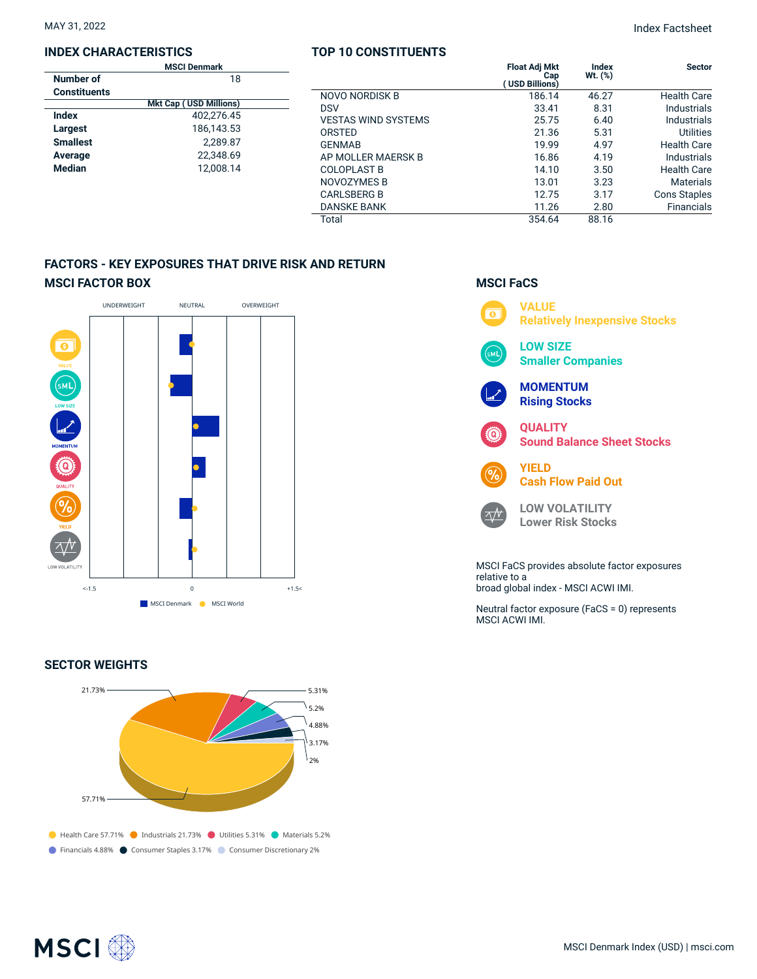#### **INDEX CHARACTERISTICS**

|                     | <b>MSCI Denmark</b>           |  |  |  |  |  |
|---------------------|-------------------------------|--|--|--|--|--|
| Number of           | 18                            |  |  |  |  |  |
| <b>Constituents</b> |                               |  |  |  |  |  |
|                     | <b>Mkt Cap (USD Millions)</b> |  |  |  |  |  |
| Index               | 402.276.45                    |  |  |  |  |  |
| Largest             | 186,143.53                    |  |  |  |  |  |
| <b>Smallest</b>     | 2.289.87                      |  |  |  |  |  |
| Average             | 22.348.69                     |  |  |  |  |  |
| <b>Median</b>       | 12.008.14                     |  |  |  |  |  |
|                     |                               |  |  |  |  |  |

## **TOP 10 CONSTITUENTS**

| 18   |                            | <b>Float Adj Mkt</b><br>Cap<br><b>USD Billions)</b> | Index<br>Wt. (%) | <b>Sector</b>       |
|------|----------------------------|-----------------------------------------------------|------------------|---------------------|
|      | <b>NOVO NORDISK B</b>      | 186.14                                              | 46.27            | <b>Health Care</b>  |
| (ממ  | <b>DSV</b>                 | 33.41                                               | 8.31             | <b>Industrials</b>  |
| .45  | <b>VESTAS WIND SYSTEMS</b> | 25.75                                               | 6.40             | <b>Industrials</b>  |
| 1.53 | ORSTED                     | 21.36                                               | 5.31             | <b>Utilities</b>    |
| 1.87 | <b>GENMAB</b>              | 19.99                                               | 4.97             | <b>Health Care</b>  |
| 1.69 | AP MOLLER MAERSK B         | 16.86                                               | 4.19             | Industrials         |
| .14  | <b>COLOPLAST B</b>         | 14.10                                               | 3.50             | <b>Health Care</b>  |
|      | NOVOZYMES B                | 13.01                                               | 3.23             | <b>Materials</b>    |
|      | <b>CARLSBERG B</b>         | 12.75                                               | 3.17             | <b>Cons Staples</b> |
|      | <b>DANSKE BANK</b>         | 11.26                                               | 2.80             | <b>Financials</b>   |
|      | Total                      | 354.64                                              | 88.16            |                     |

# **FACTORS - KEY EXPOSURES THAT DRIVE RISK AND RETURN MSCI FACTOR BOX**



## **SECTOR WEIGHTS**



# **MSCI FaCS VALUE**  $\overline{\bullet}$ **Relatively Inexpensive Stocks LOW SIZE Smaller Companies MOMENTUM Rising Stocks QUALITY Sound Balance Sheet Stocks YIELD Cash Flow Paid Out LOW VOLATILITY**  $\Delta N$ **Lower Risk Stocks** MSCI FaCS provides absolute factor exposures relative to a broad global index - MSCI ACWI IMI.

Neutral factor exposure (FaCS = 0) represents MSCI ACWI IMI.